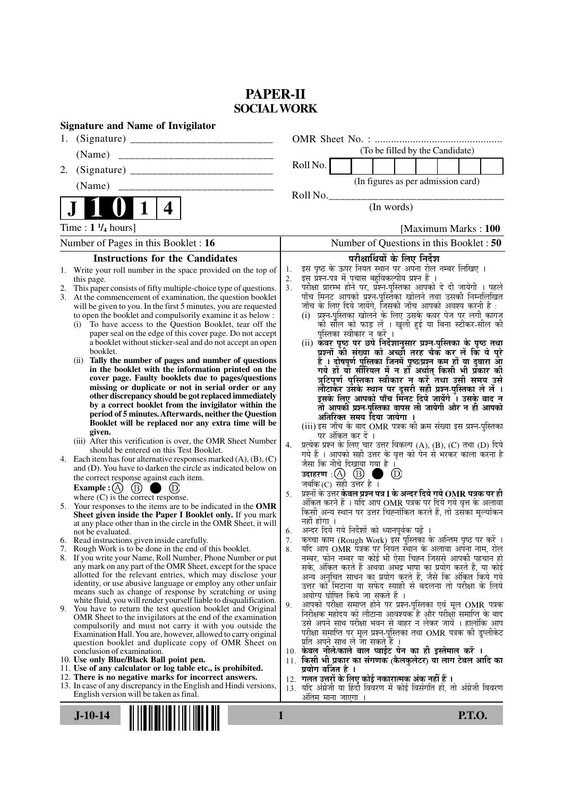# **PAPER-II SOCIAL WORK**

| <b>Signature and Name of Invigilator</b>                                                                                                 |                                                                                                                                     |
|------------------------------------------------------------------------------------------------------------------------------------------|-------------------------------------------------------------------------------------------------------------------------------------|
| 1.                                                                                                                                       |                                                                                                                                     |
| (Name)                                                                                                                                   | (To be filled by the Candidate)                                                                                                     |
| 2.                                                                                                                                       | Roll No.                                                                                                                            |
| (Name)                                                                                                                                   | (In figures as per admission card)                                                                                                  |
|                                                                                                                                          | Roll No.                                                                                                                            |
| $\mathbf 1$<br>4                                                                                                                         | (In words)                                                                                                                          |
| Time : $1 \frac{1}{4}$ hours]                                                                                                            | [Maximum Marks: 100]                                                                                                                |
| Number of Pages in this Booklet : 16                                                                                                     | Number of Questions in this Booklet: 50                                                                                             |
| <b>Instructions for the Candidates</b>                                                                                                   | परीक्षार्थियों के लिए निर्देश                                                                                                       |
| 1. Write your roll number in the space provided on the top of                                                                            | इस पृष्ठ के ऊपर नियत स्थान पर अपना रोल नम्बर लिखिए ।<br>1.                                                                          |
| this page.<br>This paper consists of fifty multiple-choice type of questions.<br>2.                                                      | इस प्रश्न-पत्र में पचास बहुविकल्पीय प्रश्न हैं ।<br>2.<br>3 <sub>1</sub>                                                            |
| At the commencement of examination, the question booklet<br>3.                                                                           | परीक्षा प्रारम्भ होने पर, प्रॅश्न-पुस्तिका आपको दे दी जायेगी । पहले<br>पाँच मिनट आपको प्रश्न-पुस्तिका खोलने तथा उसकी निम्नलिखित     |
| will be given to you. In the first 5 minutes, you are requested<br>to open the booklet and compulsorily examine it as below :            | जाँच के लिए दिये जायेंगे, जिसकी जाँच आपको अवश्य करनी है :<br>(i) प्रश्न-पुरितका खोलने के लिए उसके कवर पेज पर लगी कागज               |
| To have access to the Question Booklet, tear off the<br>(i)                                                                              | की सील को फाड़ लें । खुली हुई या बिना स्टीकर-सील की                                                                                 |
| paper seal on the edge of this cover page. Do not accept                                                                                 | पुस्तिका स्वीकार न करें ।                                                                                                           |
| a booklet without sticker-seal and do not accept an open<br>booklet.                                                                     | (ii) कवर पृष्ठ पर छपे निर्देशानुसार प्रश्न-पुस्तिका के पृष्ठ तथा<br>प्रश्नों की संख्या को अच्छों तरह चैक कर लें कि ये पूरे          |
| Tally the number of pages and number of questions<br>(ii)                                                                                | हैं । दोषपूर्ण पुस्तिका जिनमें पृष्ठ/प्रश्न कम हों या दुबारा आ<br>गये हो या सीरियल में न हो अर्थात् किसी भी प्रकार की               |
| in the booklet with the information printed on the<br>cover page. Faulty booklets due to pages/questions                                 | त्रुटिपूर्ण पुस्तिका स्वीकार न करें तथा उसी समय उसे                                                                                 |
| missing or duplicate or not in serial order or any                                                                                       | लौटाकर उसके स्थान पर दूसरी सही प्रश्न-पुस्तिका ले लें ।<br>इसके लिए आपको पाँच मिनट दिये जायेंगे । उसके बाद न                        |
| other discrepancy should be got replaced immediately<br>by a correct booklet from the invigilator within the                             |                                                                                                                                     |
| period of 5 minutes. Afterwards, neither the Question                                                                                    | तो आपकी प्रश्न-पुस्तिका वापस ली जायेगी और न ही आपको<br>अतिरिक्त समय दिया जायेगा ।                                                   |
| Booklet will be replaced nor any extra time will be<br>given.                                                                            | (iii) इस जाँच के बाद OMR पत्रक की क्रम संख्या इस प्रश्न-पुस्तिका                                                                    |
| (iii) After this verification is over, the OMR Sheet Number                                                                              | पर अंकित कर दें ।<br>प्रत्येक प्रश्न के लिए चार उत्तर विकल्प (A), (B), (C) तथा (D) दिये<br>4.                                       |
| should be entered on this Test Booklet.                                                                                                  | गये हैं । आपको सही उत्तर के वृत्त को पेन से भरकर काला करना है                                                                       |
| 4. Each item has four alternative responses marked $(A)$ , $(B)$ , $(C)$<br>and (D). You have to darken the circle as indicated below on | जैसा कि नीचे दिखाया गया है ।                                                                                                        |
| the correct response against each item.                                                                                                  | $\circled{D}$<br>जबकि $(C)$ सही उत्तर है।                                                                                           |
| Example : (A) $(B)$<br>where $(C)$ is the correct response.                                                                              | प्रश्नों के उत्तर <b>केवल प्रश्न पत्र I के अन्दर दिये गये OMR पत्रक पर ही</b><br>5.                                                 |
| 5. Your responses to the items are to be indicated in the OMR                                                                            | अंकित करने हैं । यदि आप OMR पत्रक पर दिये गये वृत्त के अलावा                                                                        |
| Sheet given inside the Paper I Booklet only. If you mark<br>at any place other than in the circle in the OMR Sheet, it will              | किसी अन्य स्थान पर उत्तर चिह्नांकित करते हैं, तो उसका मूल्यांकन<br>नहीं होगा ।                                                      |
| not be evaluated.                                                                                                                        | अन्दर दिये गये निर्देशों को ध्यानपूर्वक पढ़ें<br>6.                                                                                 |
| 6. Read instructions given inside carefully.<br>7. Rough Work is to be done in the end of this booklet.                                  | कच्चा काम (Rough Work) इस पुस्तिका के अन्तिम पृष्ठ पर करें ।<br>7.<br>यदि आप OMR पत्रक पर नियत स्थान के अलावा अपना नाम, रोल<br>8.   |
| 8. If you write your Name, Roll Number, Phone Number or put                                                                              | नम्बर, फोन नम्बर या कोई भी ऐसा चिह्न जिससे आपकी पहचान हो                                                                            |
| any mark on any part of the OMR Sheet, except for the space<br>allotted for the relevant entries, which may disclose your                | सके, अंकित करते हैं अथवा अभद्र भाषा का प्रयोग करते हैं, या कोई                                                                      |
| identity, or use abusive language or employ any other unfair                                                                             | अन्य अनुचित साधन का प्रयोग करते हैं, जैसे कि अंकित किये गये<br>उत्तर को मिटाना या सफेद स्याही से बदलना तो परीक्षा के लिये           |
| means such as change of response by scratching or using<br>white fluid, you will render yourself liable to disqualification.             | अयोग्य घोषित किये जा सकते हैं ।                                                                                                     |
| 9. You have to return the test question booklet and Original                                                                             | आपको परीक्षा समाप्त होने पर प्रश्न-पुस्तिका एवं मूल OMR पत्रक<br>9.<br>निरीक्षक महोदय को लौटाना आवश्यक है और परीक्षा समाप्ति के बाद |
| OMR Sheet to the invigilators at the end of the examination<br>compulsorily and must not carry it with you outside the                   | उसे अपने साथ परीक्षा भवन से बाहर न लेकर जायें । हालांकि आप                                                                          |
| Examination Hall. You are, however, allowed to carry original                                                                            | परीक्षा समाप्ति पर मूल प्रश्न-पुस्तिका तथा OMR पत्रक की डुप्लीकेट                                                                   |
| question booklet and duplicate copy of OMR Sheet on<br>conclusion of examination.                                                        | प्रति अपने साथ ले जा सकते हैं ।<br>10. केवल नीले/काले बाल प्वाईंट पेन का ही इस्तेमाल करें ।                                         |
| 10. Use only Blue/Black Ball point pen.                                                                                                  | 11. किसी भी प्रकार का संगणक (कैलकुलेटर) या लाग टेबल आदि का                                                                          |
| 11. Use of any calculator or log table etc., is prohibited.<br>12. There is no negative marks for incorrect answers.                     | प्रयोग वर्जित है ।<br>12. गलत उत्तरों के लिए कोई नकारात्मक अंक नहीं हैं ।                                                           |
| 13. In case of any discrepancy in the English and Hindi versions,                                                                        | 13. यदि अंग्रेजी या हिंदी विवरण में कोई विसंगति हो, तो अंग्रेजी विवरण                                                               |
| English version will be taken as final.                                                                                                  | अतिम माना जाएगा ।                                                                                                                   |
| $J-10-14$                                                                                                                                | <b>P.T.O.</b><br>1                                                                                                                  |
|                                                                                                                                          |                                                                                                                                     |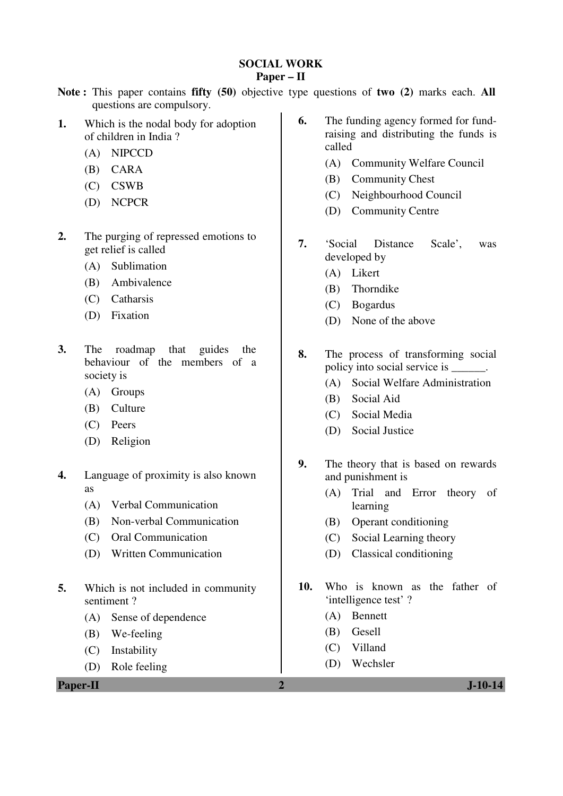# **SOCIAL WORK**

## **Paper – II**

- **Note :** This paper contains **fifty (50)** objective type questions of **two (2)** marks each. **All** questions are compulsory.
- **1.** Which is the nodal body for adoption of children in India ?
	- (A) NIPCCD
	- (B) CARA
	- (C) CSWB
	- (D) NCPCR
- **2.** The purging of repressed emotions to get relief is called
	- (A) Sublimation
	- (B) Ambivalence
	- (C) Catharsis
	- (D) Fixation
- **3.** The roadmap that guides the behaviour of the members of a society is
	- (A) Groups
	- (B) Culture
	- (C) Peers
	- (D) Religion
- **4.** Language of proximity is also known as
	- (A) Verbal Communication
	- (B) Non-verbal Communication
	- (C) Oral Communication
	- (D) Written Communication
- **5.** Which is not included in community sentiment ?
	- (A) Sense of dependence
	- (B) We-feeling
	- (C) Instability
	- (D) Role feeling

**Paper-II 2 J-10-14** 

- **6.** The funding agency formed for fundraising and distributing the funds is called
	- (A) Community Welfare Council
	- (B) Community Chest
	- (C) Neighbourhood Council
	- (D) Community Centre
- **7.** 'Social Distance Scale', was developed by
	- (A) Likert
	- (B) Thorndike
	- (C) Bogardus
	- (D) None of the above
- **8.** The process of transforming social policy into social service is \_\_\_\_\_\_.
	- (A) Social Welfare Administration
	- (B) Social Aid
	- (C) Social Media
	- (D) Social Justice
- **9.** The theory that is based on rewards and punishment is
	- (A) Trial and Error theory of learning
	- (B) Operant conditioning
	- (C) Social Learning theory
	- (D) Classical conditioning
- **10.** Who is known as the father of 'intelligence test' ?
	- (A) Bennett
	- (B) Gesell
	- (C) Villand
	- (D) Wechsler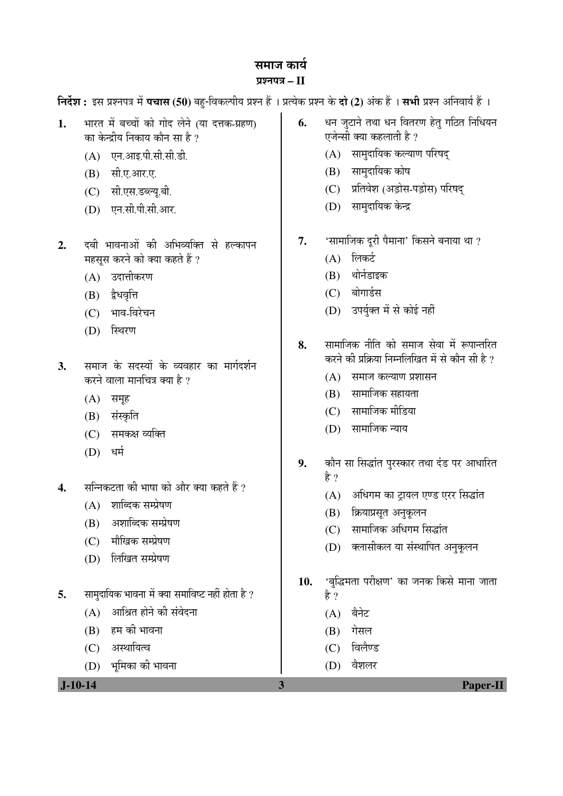# समाज कार्य

#### ¯ÖÏ¿®Ö¯Ö¡Ö **– II**

 $\hat{z}$ नर्देश : इस प्रश्नपत्र में पचास (50) बहु-विकल्पीय प्रश्न हैं । प्रत्येक प्रश्न के दो (2) अंक हैं । सभी प्रश्न अनिवार्य हैं ।

**6.** धन जुटाने तथा धन वितरण हेतु गठित निधियन

 $(A)$  सामुदायिक कल्याण परिषद्

एजेन्सी क्या कहलाती है ?

 $(B)$  सामुदायिक कोष

1. भारत में बच्चों को गोद लेने (या दत्तक-ग्रहण)

का केन्द्रीय निकाय कौन सा है ?

 $(A)$  एन.आइ.पी.सी.सी.डी.

(B) सी.ए.आर.ए.

| $J-10-14$ |                                                  | 3   | <b>Paper-II</b>                                 |
|-----------|--------------------------------------------------|-----|-------------------------------------------------|
|           | भूमिका की भावना<br>(D)                           |     | वैशलर<br>(D)                                    |
|           | अस्थायित्व<br>(C)                                |     | विलैण्ड<br>(C)                                  |
|           | हम की भावना<br>(B)                               |     | गेसल<br>(B)                                     |
|           | आश्रित होने की संवेदना<br>(A)                    |     | बैनेट<br>(A)                                    |
| 5.        | सामुदायिक भावना में क्या समाविष्ट नहीं होता है ? |     | है ?                                            |
|           |                                                  | 10. | 'बुद्धिमता परीक्षण' का जनक किसे माना जाता       |
|           | लिखित सम्प्रेषण<br>(D)                           |     |                                                 |
|           | मौखिक सम्प्रेषण<br>(C)                           |     | क्लासीकल या संस्थापित अनुकूलन<br>(D)            |
|           | अशाब्दिक सम्प्रेषण<br>(B)                        |     | सामाजिक अधिगम सिद्धांत<br>(C)                   |
|           | शाब्दिक सम्प्रेषण<br>(A)                         |     | क्रियाप्रसूत अनुकूलन<br>(B)                     |
| 4.        | सन्निकटता की भाषा को और क्या कहते हैं ?          |     | अधिगम का ट्रायल एण्ड एरर सिद्धांत<br>(A)        |
|           |                                                  |     | है ?                                            |
|           | धर्म<br>(D)                                      | 9.  | कौन सा सिद्धांत पुरस्कार तथा दंड पर आधारित      |
|           | समकक्ष व्यक्ति<br>(C)                            |     | सामाजिक न्याय<br>(D)                            |
|           | संस्कृति<br>(B)                                  |     | (C) सामाजिक मीडिया                              |
|           | (A)<br>समूह                                      |     | सामाजिक सहायता<br>(B)                           |
|           | करने वाला मानचित्र क्या है ?                     |     | (A) समाज कल्याण प्रशासन                         |
| 3.        | समाज के सदस्यों के व्यवहार का मार्गदर्शन         |     | करने की प्रक्रिया निम्नलिखित में से कौन सी है ? |
|           |                                                  | 8.  | सामाजिक नीति को समाज सेवा में रूपान्तरित        |
|           | स्थिरण<br>(D)                                    |     |                                                 |
|           | भाव-विरेचन<br>(C)                                |     | (D) उपर्युक्त में से कोई नहीं                   |
|           | द्वेधवृत्ति<br>(B)                               |     | बोगार्डस<br>(C)                                 |
|           | उदात्तीकरण<br>(A)                                |     | थोर्नडाइक<br>(B)                                |
|           | महसूस करने को क्या कहते हैं ?                    |     | लिकर्ट<br>(A)                                   |
| 2.        | दबी भावनाओं की अभिव्यक्ति से हल्कापन             | 7.  | 'सामाजिक दूरी पैमाना' किसने बनाया था ?          |
|           | एन.सी.पी.सी.आर.<br>(D)                           |     |                                                 |
|           | सी.एस.डब्ल्यू.बी.<br>(C)                         |     | सामुदायिक केन्द्र<br>(D)                        |
|           |                                                  |     | प्रतिवेश (अड़ोस-पड़ोस) परिषद्<br>(C)            |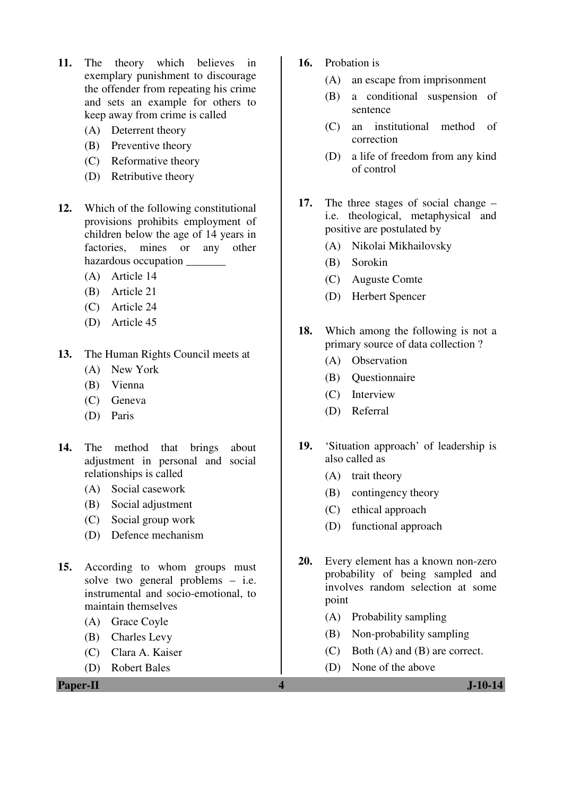- **11.** The theory which believes in exemplary punishment to discourage the offender from repeating his crime and sets an example for others to keep away from crime is called
	- (A) Deterrent theory
	- (B) Preventive theory
	- (C) Reformative theory
	- (D) Retributive theory
- **12.** Which of the following constitutional provisions prohibits employment of children below the age of 14 years in factories, mines or any other hazardous occupation \_\_\_\_\_\_\_
	- (A) Article 14
	- (B) Article 21
	- (C) Article 24
	- (D) Article 45
- **13.** The Human Rights Council meets at
	- (A) New York
	- (B) Vienna
	- (C) Geneva
	- (D) Paris
- **14.** The method that brings about adjustment in personal and social relationships is called
	- (A) Social casework
	- (B) Social adjustment
	- (C) Social group work
	- (D) Defence mechanism
- **15.** According to whom groups must solve two general problems – i.e. instrumental and socio-emotional, to maintain themselves
	- (A) Grace Coyle
	- (B) Charles Levy
	- (C) Clara A. Kaiser
	- (D) Robert Bales
- **16.** Probation is
	- (A) an escape from imprisonment
	- (B) a conditional suspension of sentence
	- (C) an institutional method of correction
	- (D) a life of freedom from any kind of control
- **17.** The three stages of social change i.e. theological, metaphysical and positive are postulated by
	- (A) Nikolai Mikhailovsky
	- (B) Sorokin
	- (C) Auguste Comte
	- (D) Herbert Spencer
- **18.** Which among the following is not a primary source of data collection ?
	- (A) Observation
	- (B) Questionnaire
	- (C) Interview
	- (D) Referral
- **19.** 'Situation approach' of leadership is also called as
	- (A) trait theory
	- (B) contingency theory
	- (C) ethical approach
	- (D) functional approach
- **20.** Every element has a known non-zero probability of being sampled and involves random selection at some point
	- (A) Probability sampling
	- (B) Non-probability sampling
	- (C) Both (A) and (B) are correct.
	- (D) None of the above
-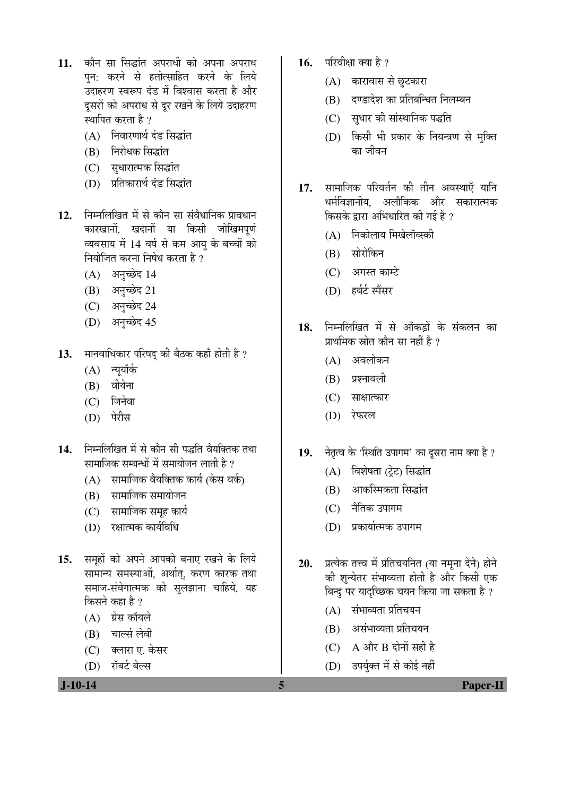- 11. कौन सा सिद्धांत अपराधी को अपना अपराध पन: करने से हतोत्साहित करने के लिये ˆ¤üÖÆü¸üÞÖ Ã¾Öºþ¯Ö ¤Óü›ü ´Öë ×¾Ö¿¾ÖÖÃÖ Ûú¸üŸÖÖ Æîü †Öî¸ü दूसरों को अपराध से दूर रखने के लिये उदाहरण स्थापित करता है ?
	- $(A)$  निवारणार्थ दंड सिद्धांत
	- (B) निरोधक सिद्धांत
	- (C) सुधारात्मक सिद्धांत
	- (D) प्रतिकारार्थ दंड सिद्धांत
- 12. निम्नलिखित में से कौन सा संवैधानिक प्रावधान कारखानों खदानों या किसी जोखिमपर्ण व्यवसाय में 14 वर्ष से कम आयु के बच्चों को नियोजित करना निषेध करता है ?
	- $(A)$  अनच्छेद 14
	- (B) अनुच्छेद 21
	- (C) अनुच्छेद 24
	- (D) अनुच्छेद 45
- 13. **मानवाधिकार परिषद् की बैठक कहाँ होती है**?
	- $(A)$  न्युयॉर्क
	- $(B)$  वीयेना
	- $(C)$  जिनेवा
	- (D) पेरीस
- 14. निम्नलिखित में से कौन सी पद्धति वैयक्तिक तथा सामाजिक सम्बन्धों में समायोजन लाती है ?
	- $(A)$  सामाजिक वैयक्तिक कार्य (केस वर्क)
	- (B) सामाजिक समायोजन
	- (C) सामाजिक समूह कार्य
	- (D) रक्षात्मक कार्यविधि
- 15. समहों को अपने आपको बनाए रखने के लिये सामान्य समस्याओं, अर्थात, करण कारक तथा समाज-संवेगात्मक को सुलझाना चाहिये, यह किसने कहा है ?
	- $(A)$  ग्रेस कॉयले
	- (B) चार्ल्स लेवी
	- (C) वलारा ए. केसर
	- (D) रॉबर्ट बेल्स

 **J-10-14 5 Paper-II**

- 16. परिवीक्षा क्या है ?
	- $(A)$  कारावास से छुटकारा
	- (B) दण्डादेश का प्रतिबन्धित निलम्बन
	- (C) सुधार की सांस्थानिक पद्धति
	- (D) किसी भी प्रकार के नियन्त्रण से मुक्ति का जीवन
- 17. सामाजिक परिवर्तन की तीन अवस्थाएँ यानि धर्मविज्ञानीय. अलौकिक और सकारात्मक किसके द्वारा अभिधारित की गई हैं ?
	- $(A)$  निकोलाय मिखेलॉव्स्की
	- (B) सोरोकिन
	- $(C)$  आगस्त काम्टे
	- (D) हर्बर्ट स्पैंसर
- 18. निम्नलिखित में से आँकडों के संकलन का प्राथमिक स्रोत कौन सा नहीं है ?
	- (A) अवलोकन
	- $(B)$  प्रश्नावली
	- $(C)$  साक्षात्कार
	- (D) रेफरल
- 19. नेतृत्व के 'स्थिति उपागम' का दुसरा नाम क्या है ?
	- (A) विशेषता (टेट) सिद्धांत
	- (B) आकस्मिकता सिद्धांत
	- (C) नैतिक उपागम
	- (D) प्रकार्यात्मक उपागम
- 20. प्रत्येक तत्त्व में प्रतिचयनित (या नमना देने) होने की शून्येतर संभाव्यता होती है और किसी एक बिन्दु पर यादच्छिक चयन किया जा सकता है ?
	- $(A)$  संभाव्यता प्रतिचयन
	- $(B)$  असंभाव्यता प्रतिचयन
	- $(C)$  A और B दोनों सही है
	- (D) उपर्युक्त में से कोई नहीं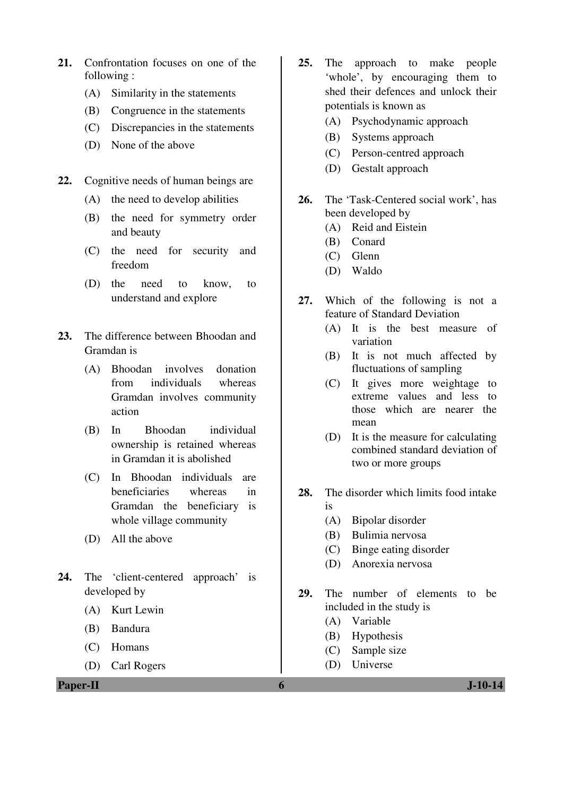- **21.** Confrontation focuses on one of the following :
	- (A) Similarity in the statements
	- (B) Congruence in the statements
	- (C) Discrepancies in the statements
	- (D) None of the above
- **22.** Cognitive needs of human beings are
	- (A) the need to develop abilities
	- (B) the need for symmetry order and beauty
	- (C) the need for security and freedom
	- (D) the need to know, to understand and explore
- **23.** The difference between Bhoodan and Gramdan is
	- (A) Bhoodan involves donation from individuals whereas Gramdan involves community action
	- (B) In Bhoodan individual ownership is retained whereas in Gramdan it is abolished
	- (C) In Bhoodan individuals are beneficiaries whereas in Gramdan the beneficiary is whole village community
	- (D) All the above
- **24.** The 'client-centered approach' is developed by
	- (A) Kurt Lewin
	- (B) Bandura
	- (C) Homans
	- (D) Carl Rogers
- **25.** The approach to make people 'whole', by encouraging them to shed their defences and unlock their potentials is known as
	- (A) Psychodynamic approach
	- (B) Systems approach
	- (C) Person-centred approach
	- (D) Gestalt approach
- **26.** The 'Task-Centered social work', has been developed by
	- (A) Reid and Eistein
	- (B) Conard
	- (C) Glenn
	- (D) Waldo
- **27.** Which of the following is not a feature of Standard Deviation
	- (A) It is the best measure of variation
	- (B) It is not much affected by fluctuations of sampling
	- (C) It gives more weightage to extreme values and less to those which are nearer the mean
	- (D) It is the measure for calculating combined standard deviation of two or more groups
- **28.** The disorder which limits food intake is
	- (A) Bipolar disorder
	- (B) Bulimia nervosa
	- (C) Binge eating disorder
	- (D) Anorexia nervosa
- **29.** The number of elements to be included in the study is
	- (A) Variable
	- (B) Hypothesis
	- (C) Sample size
	- (D) Universe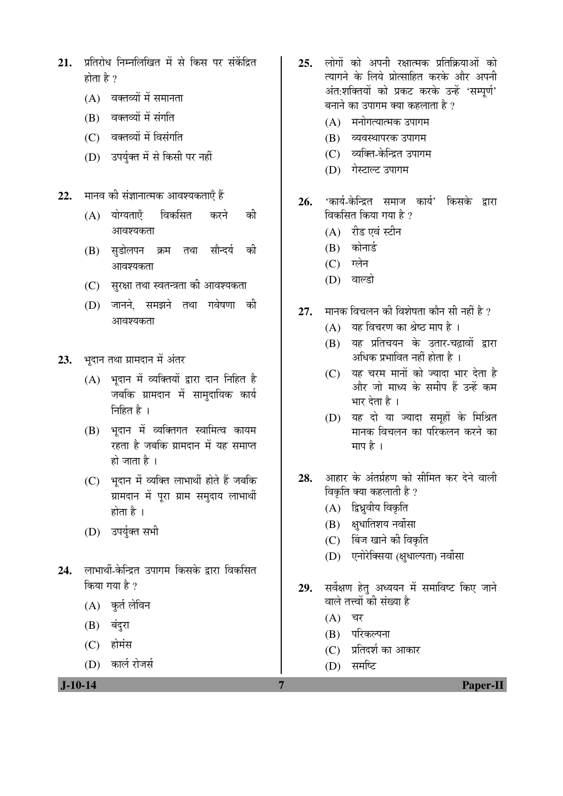- 21. प्रतिरोध निम्नलिखित में से किस पर संकेंदित होता है  $\gamma$ 
	- $(A)$  वक्तव्यों में समानता
	- (B) वक्तव्यों में संगति
	- (C) वक्तव्यों में विसंगति
	- (D) उपर्युक्त में से किसी पर नहीं
- 22. मानव की संज्ञानात्मक आवश्यकताएँ हैं
	- (A) योग्यताएँ विकसित करने की आवश्यकता
	- (B) सुडोलपन क्रम तथा सौन्दर्य की आवश्यकता
	- $(C)$  सुरक्षा तथा स्वतन्त्रता की आवश्यकता
	- (D) जानने. समझने तथा गवेषणा की आवश्यकता
- 23. भदान तथा ग्रामदान में अंतर
	- $(A)$  भदान में व्यक्तियों द्वारा दान निहित है जबकि ग्रामदान में सामुदायिक कार्य निहित $\overrightarrow{a}$ ।
	- (B) भदान में व्यक्तिगत स्वामित्व कायम रहता है जबकि ग्रामदान में यह समाप्त हो जाता है $\perp$
	- (C) भदान में व्यक्ति लाभार्थी होते हैं जबकि ग्रामदान में पुरा ग्राम समुदाय लाभार्थी होता है $\perp$
	- (D) उपर्युक्त सभी
- 24. लाभार्थी-केन्द्रित उपागम किसके द्रारा विकसित किया गया है $\overline{v}$ 
	- $(A)$  कुर्त लेविन
	- $(B)$  बंदुरा
	- $(C)$  होमंस
	- (D) कार्ल रोजर्स

- 25. लोगों को अपनी रक्षात्मक प्रतिक्रियाओं को त्यागने के लिये प्रोत्साहित करके और अपनी अंत:शक्तियों को प्रकट करके उन्हें 'सम्पूर्ण' बनाने का उपागम क्या कहलाता है ?
	- $(A)$  मनोगत्यात्मक उपागम
	- (B) व्यवस्थापरक उपागम
	- (C) व्यक्ति-केन्द्रित उपागम
	- (D) गेस्टाल्ट उपागम
- 26. 'कार्य-केन्द्रित समाज कार्य' किसके द्वारा विकसित किया गया है ?
	- $(A)$  रीड एवं स्टीन
	- $(B)$  कोनार्ड
	- $(C)$  ग्लेन
	- (D) वाल्डो
- 27. <u>मानक विचलन की विशेषता कौन सी नहीं है</u> ?
	- $(A)$  यह विचरण का श्रेष्ठ माप है ।
	- (B) यह प्रतिचयन के उतार-चढ़ावों द्वारा अधिक प्रभावित नहीं होता है ।
	- $(C)$  यह चरम मानों को ज्यादा भार देता है ओर जो माध्य के समीप हैं उन्हें कम भार देता है ।
	- (D) यह दो या ज्यादा समूहों के मिश्रित मानक विचलन का परिकलन करने का माप है $\perp$
- 28. आहार के अंतर्ग्रहण को सीमित कर देने वाली विकृति क्या कहलाती है ?
	- $(A)$  द्विध्रुवीय विकृति
	- $(B)$  क्षधातिशय नर्वोसा
	- (C) बिंज खाने की विकृति
	- (D) एनोरेक्सिया (क्षुधाल्पता) नर्वोसा
- 29. सर्वेक्षण हेत् अध्ययन में समाविष्ट किए जाने वाले तत्त्वों की संख्या है
	- $(A)$  चर
	- (B) परिकल्पना
	- (C) प्रतिदर्श का आकार
	- $(D)$  समष्टि
- **J-10-14 7 Paper-II**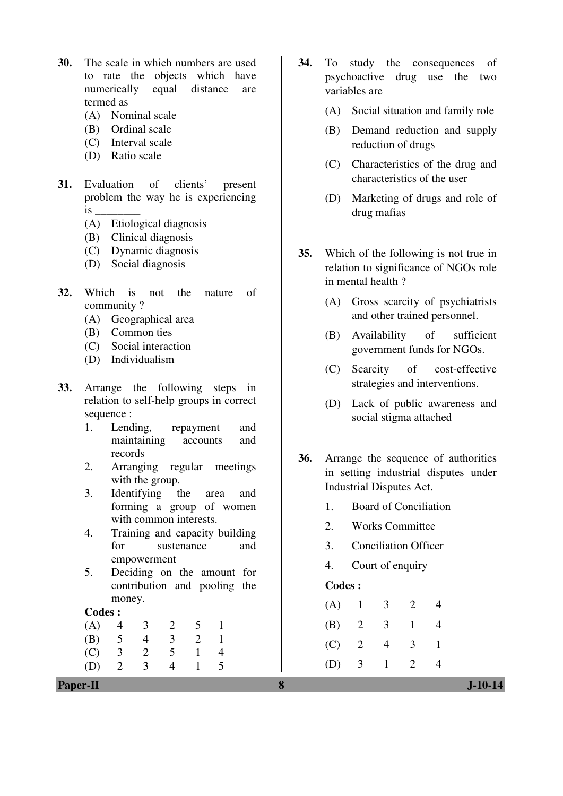- **30.** The scale in which numbers are used to rate the objects which have numerically equal distance are termed as
	- (A) Nominal scale
	- (B) Ordinal scale
	- (C) Interval scale
	- (D) Ratio scale
- **31.** Evaluation of clients' present problem the way he is experiencing is \_\_\_\_\_\_\_\_
	- (A) Etiological diagnosis
	- (B) Clinical diagnosis
	- (C) Dynamic diagnosis
	- (D) Social diagnosis
- **32.** Which is not the nature of community ?
	- (A) Geographical area
	- (B) Common ties
	- (C) Social interaction
	- (D) Individualism
- **33.** Arrange the following steps in relation to self-help groups in correct sequence :
	- 1. Lending, repayment and maintaining accounts and records
	- 2. Arranging regular meetings with the group.
	- 3. Identifying the area and forming a group of women with common interests.
	- 4. Training and capacity building for sustenance and empowerment
	- 5. Deciding on the amount for contribution and pooling the money.

#### **Codes :**

 (A) 4 3 2 5 1 (B) 5 4 3 2 1 (C) 3 2 5 1 4 (D) 2 3 4 1 5

- **34.** To study the consequences of psychoactive drug use the two variables are
	- (A) Social situation and family role
	- (B) Demand reduction and supply reduction of drugs
	- (C) Characteristics of the drug and characteristics of the user
	- (D) Marketing of drugs and role of drug mafias
- **35.** Which of the following is not true in relation to significance of NGOs role in mental health ?
	- (A) Gross scarcity of psychiatrists and other trained personnel.
	- (B) Availability of sufficient government funds for NGOs.
	- (C) Scarcity of cost-effective strategies and interventions.
	- (D) Lack of public awareness and social stigma attached
- **36.** Arrange the sequence of authorities in setting industrial disputes under Industrial Disputes Act.
	- 1. Board of Conciliation
	- 2. Works Committee
	- 3. Conciliation Officer
	- 4. Court of enquiry

#### **Codes :**

| (A) |         | 3              | $\overline{2}$ |  |
|-----|---------|----------------|----------------|--|
|     | (B) 2   | $\overline{3}$ | $\mathbf{1}$   |  |
|     | $(C)$ 2 | 4              | 3              |  |
|     | (D) 3   | $\mathbf{1}$   | 2              |  |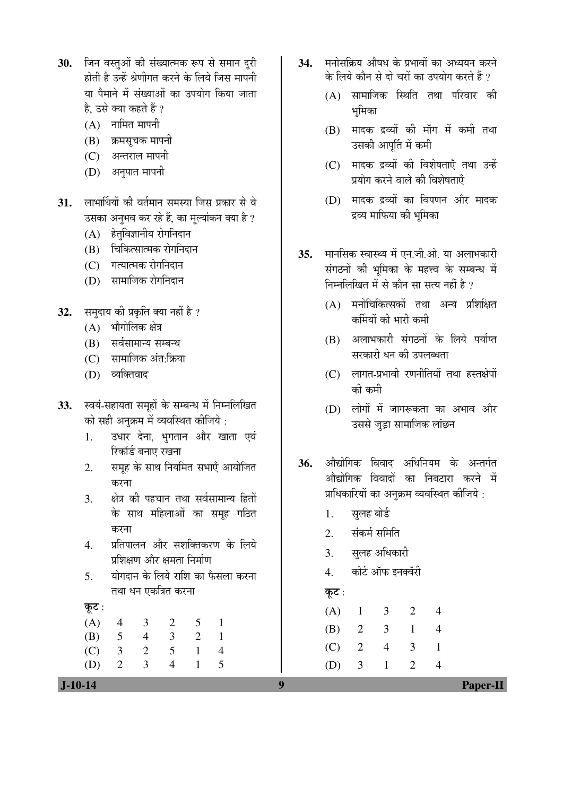- 30. जिन वस्तुओं की संख्यात्मक रूप से समान दुरी होती है उन्हें श्रेणीगत करने के लिये जिस मापनी या पैमाने में संख्याओं का उपयोग किया जाता है. उसे क्या कहते हैं ?
	- $(A)$  नामित मापनी
	- (B) क्रमसूचक मापनी
	- (C) अन्तराल मापनी
	- (D) अनुपात मापनी
- 31. लाभार्थियों की वर्तमान समस्या जिस प्रकार से वे उसका अनुभव कर रहे हैं, का मूल्यांकन क्या है ?
	- $(A)$  हेतुविज्ञानीय रोगनिदान
	- (B) चिकित्सात्मक रोगनिदान
	- (C) गत्यात्मक रोगनिदान
	- (D) सामाजिक रोगनिदान
- 32. समुदाय की प्रकृति क्या नहीं है ?
	- $(A)$  भौगोलिक क्षेत्र
	- (B) सर्वसामान्य सम्बन्ध
	- (C) सामाजिक अंत:क्रिया
	- (D) व्यक्तिवाद
- 33. स्वयं-सहायता समूहों के सम्बन्ध में निम्नलिखित को सही अनक्रम में व्यवस्थित कीजिये :
	- 1. उधार देना, भगतान और खाता एवं रिकॉर्ड बनाए रखना
	- 2. समूह के साथ नियमित सभाएँ आयोजित करना
	- 3. क्षेत्र की पहचान तथा सर्वसामान्य हितों के साथ महिलाओं का समह गठित करना
	- $4$  प्रतिपालन और सशक्तिकरण के लिये प्रशिक्षण और क्षमता निर्माण
	- $5$   $\,$  2011) योगदान के लिये राशि का फैसला करना तथा धन एकत्रित करना

कूट:

 (A) 4 3 2 5 1 (B) 5 4 3 2 1 (C) 3 2 5 1 4 (D) 2 3 4 1 5

- 34. ÞHHRAD औषध के प्रभावों का अध्ययन करने के लिये कौन से दो चरों का उपयोग करते हैं ?
	- (A) सामाजिक स्थिति तथा परिवार की भूमिका
	- $(B)$  मादक द्रव्यों की माँग में कमी तथा उसकी आपति में कमी
	- (C) मादक द्रव्यों की विशेषताएँ तथा उन्हें प्रयोग करने वाले की विशेषताएँ
	- (D) मादक द्रव्यों का विपणन और मादक द्रव्य माफिया की भूमिका
- 35. मानसिक स्वास्थ्य में एन जी ओ. या अलाभकारी संगठनों की भूमिका के महत्त्व के सम्बन्ध में निम्नलिखित में से कौन सा सत्य नहीं है ?
	- $(A)$  मनोचिकित्सकों तथा अन्य प्रशिक्षित कर्मियों की भारी कमी
	- (B) अलाभकारी संगठनों के लिये पर्याप्त सरकारी धन की उपलब्धता
	- $(C)$  लागत-प्रभावी रणनीतियों तथा हस्तक्षेपों की कमी
	- $(D)$  लोगों में जागरूकता का अभाव और उससे जुड़ा सामाजिक लांछन
- 36. औद्योगिक विवाद अधिनियम के अन्तर्गत ँ<br>औद्योगिक विवादों का निबटारा करने में प्राधिकारियों का अनुक्रम व्यवस्थित कीजिये :
	- 1. सलह बोर्ड
	- 2. संकर्म समिति
	- 3. सुलह अधिकारी
	- 4. कोर्ट ऑफ इनक्वॅरी

Ûæú™ü :

| (A)     |                         | 3            | $\overline{2}$ |  |
|---------|-------------------------|--------------|----------------|--|
| (B) 2   |                         | 3            | $\mathbf{1}$   |  |
| $(C)$ 2 |                         | 4            | 3              |  |
| (D)     | $\overline{\mathbf{3}}$ | $\mathbf{L}$ | 2              |  |

 **J-10-14 9 Paper-II**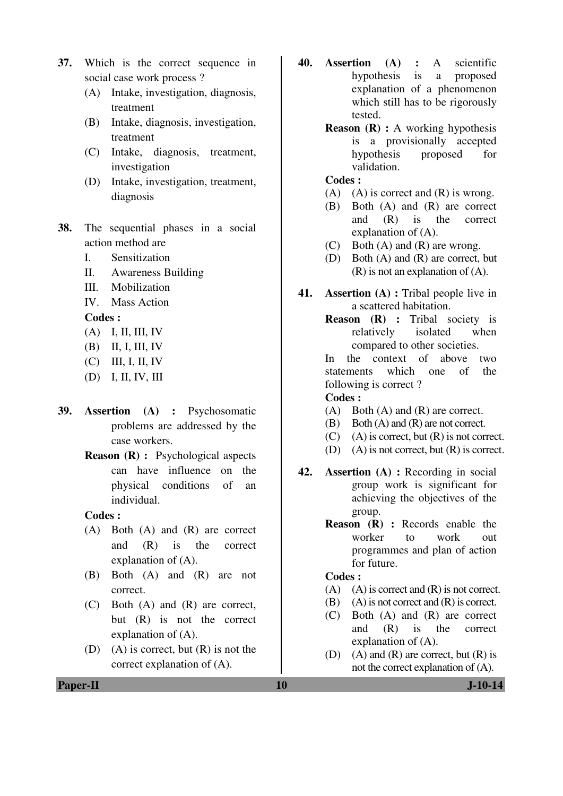- **37.** Which is the correct sequence in social case work process ?
	- (A) Intake, investigation, diagnosis, treatment
	- (B) Intake, diagnosis, investigation, treatment
	- (C) Intake, diagnosis, treatment, investigation
	- (D) Intake, investigation, treatment, diagnosis
- **38.** The sequential phases in a social action method are
	- I. Sensitization
	- II. Awareness Building
	- III. Mobilization
	- IV. Mass Action

**Codes :** 

- (A) I, II, III, IV
- (B) II, I, III, IV
- (C) III, I, II, IV
- (D) I, II, IV, III
- **39. Assertion (A) :** Psychosomatic problems are addressed by the case workers.
	- **Reason (R) :** Psychological aspects can have influence on the physical conditions of an individual.

#### **Codes :**

- (A) Both (A) and (R) are correct and (R) is the correct explanation of (A).
- (B) Both (A) and (R) are not correct.
- (C) Both (A) and (R) are correct, but (R) is not the correct explanation of (A).
- (D) (A) is correct, but  $(R)$  is not the correct explanation of (A).
- **40. Assertion (A) :** A scientific hypothesis is a proposed explanation of a phenomenon which still has to be rigorously tested.
	- **Reason (R) :** A working hypothesis is a provisionally accepted hypothesis proposed for validation.

#### **Codes :**

- (A) (A) is correct and  $(R)$  is wrong.
- (B) Both (A) and (R) are correct and (R) is the correct explanation of (A).
- (C) Both (A) and (R) are wrong.
- (D) Both (A) and (R) are correct, but (R) is not an explanation of (A).
- **41. Assertion (A) :** Tribal people live in a scattered habitation.
	- **Reason (R) :** Tribal society is relatively isolated when compared to other societies.

In the context of above two statements which one of the following is correct ?

### **Codes :**

- (A) Both (A) and (R) are correct.
- (B) Both (A) and (R) are not correct.
- $(C)$  (A) is correct, but  $(R)$  is not correct.
- (D) (A) is not correct, but  $(R)$  is correct.
- **42. Assertion (A) :** Recording in social group work is significant for achieving the objectives of the group.
	- **Reason (R) :** Records enable the worker to work out programmes and plan of action for future.

#### **Codes :**

- $(A)$   $(A)$  is correct and  $(R)$  is not correct.
- $(B)$  (A) is not correct and  $(R)$  is correct.
- (C) Both (A) and (R) are correct and (R) is the correct explanation of (A).
- (D) (A) and (R) are correct, but  $(R)$  is not the correct explanation of (A).

**Paper-II 10** J-10-14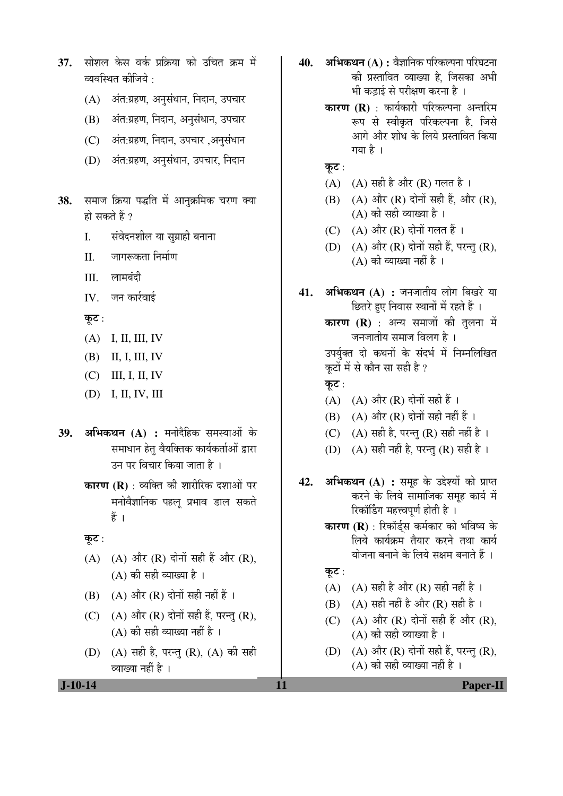- 37. सोशल केस वर्क प्रक्रिया को उचित कम में व्यवस्थित कीजिये $\, \cdot \,$ 
	- (A) अंत:ग्रहण, अनुसंधान, निदान, उपचार
	- (B) अंत:ग्रहण, निदान, अनसंधान, उपचार
	- (C) अंत:ग्रहण, निदान, उपचार, अनुसंधान
	- (D) अंत:ग्रहण, अनुसंधान, उपचार, निदान
- 38. समाज क्रिया पद्धति में आनुक्रमिक चरण क्या हो सकते हैं ?
	- I. संवेदनशील या सुग्राही बनाना
	- II. जागरूकता निर्माण
	- III. लामबंदी
	- $IV.$  जन कार्रवाई
	- कूट:
	- (A) I, II, III, IV
	- (B) II, I, III, IV
	- (C) III, I, II, IV
	- (D) I, II, IV, III
- **39. अभिकथन (A) :** मनोदैहिक समस्याओं के समाधान हेतु वैयक्तिक कार्यकर्ताओं द्वारा उन पर विचार किया जाता है ।
	- **कारण (R)** : व्यक्ति की शारीरिक दशाओं पर मनोवैज्ञानिक पहल् प्रभाव डाल सकते हैं $\frac{3}{5}$ ।
	- कूट:
	- $(A)$   $(A)$  और  $(R)$  दोनों सही हैं और  $(R)$ ,  $(A)$  की सही व्याख्या है।
	- $(B)$   $(A)$  और  $(R)$  दोनों सही नहीं हैं।
	- (C)  $(A)$  और  $(R)$  दोनों सही हैं, परन्तु  $(R)$ ,  $(A)$  की सही व्याख्या नहीं है।
	- (D) (A) सही है, परन्तु (R), (A) की सही व्याख्या नहीं है ।
- **40. अभिकथन (A) : वैज्ञा**निक परिकल्पना परिघटना की प्रस्तावित व्याख्या है. जिसका अभी भी कडाई से परीक्षण करना है ।
	- **कारण (R)** : कार्यकारी परिकल्पना अन्तरिम रूप से स्वीकृत परिकल्पना है, जिसे आगे और शोध के लिये प्रस्तावित किया गया है $\perp$
	- कूट :
	- (A)  $(A)$  सही है और (R) गलत है।
	- $(B)$   $(A)$  और  $(R)$  दोनों सही हैं, और  $(R)$ ,  $(A)$  की सही व्याख्या है।
	- (C)  $(A)$  और  $(R)$  दोनों गलत हैं।
	- (D)  $(A)$  और  $(R)$  दोनों सही हैं, परन्तु  $(R)$ ,  $(A)$  की व्याख्या नहीं है।
- **41. अभिकथन (A) :** जनजातीय लोग बिखरे या छितरे हुए निवास स्थानों में रहते हैं । **कारण (R)** : अन्य समाजों की तलना में जनजातीय समाज विलग है । उपर्युक्त दो कथनों के संदर्भ में निम्नलिखित कटों में से कौन सा सही है ? कूट:  $(A)$   $(A)$  और  $(R)$  दोनों सही हैं।  $(B)$   $(A)$  और  $(R)$  दोनों सही नहीं हैं । (C)  $(A)$  सही है, परन्त $(R)$  सही नहीं है। (D) (A) सही नहीं है, परन्तु (R) सही है।
- **42. अभिकथन (A) :** समह के उद्देश्यों को प्राप्त करने के लिये सामाजिक समूह कार्य में रिकॉर्डिंग महत्त्वपूर्ण होती है ।
	- **कारण (R)** : रिकॉर्डस कर्मकार को भविष्य के लिये कार्यक्रम तैयार करने तथा कार्य योजना बनाने के लिये सक्षम बनाते हैं ।
	- कूट:
	- (A)  $(A)$  सही है और (R) सही नहीं है।
	- $(B)$   $(A)$  सही नहीं है और  $(R)$  सही है ।
	- (C)  $(A)$  और  $(R)$  दोनों सही हैं और  $(R)$ , (A) की सही व्याख्या है ।
	- (D)  $(A)$  और  $(R)$  दोनों सही हैं, परन्त  $(R)$ , (A) की सही व्याख्या नहीं है)।

 **J-10-14 11 Paper-II**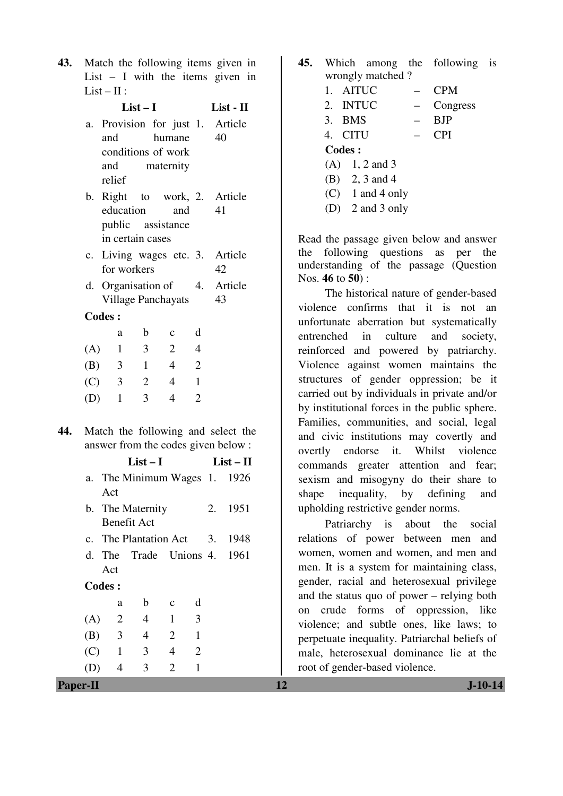**43.** Match the following items given in List  $-$  I with the items given in  $List - II:$ 

|     | $List-I$                                                                  |                |                                        |                                  |                | List - II |             |  |
|-----|---------------------------------------------------------------------------|----------------|----------------------------------------|----------------------------------|----------------|-----------|-------------|--|
|     | а.                                                                        |                | Provision for just 1. Article          |                                  |                |           |             |  |
|     |                                                                           | and            |                                        | humane                           |                | 40        |             |  |
|     |                                                                           |                | conditions of work                     |                                  |                |           |             |  |
|     |                                                                           | and            |                                        | maternity                        |                |           |             |  |
|     |                                                                           | relief         |                                        |                                  |                |           |             |  |
|     |                                                                           |                | b. Right to work, 2. Article           |                                  |                |           |             |  |
|     |                                                                           | education      | public assistance                      | and                              |                | 41        |             |  |
|     |                                                                           |                | in certain cases                       |                                  |                |           |             |  |
|     |                                                                           |                | c. Living wages etc. 3.                |                                  |                |           | Article     |  |
|     |                                                                           |                | for workers                            |                                  |                | 42        |             |  |
|     |                                                                           |                | d. Organisation of 4.                  |                                  |                | 43        | Article     |  |
|     |                                                                           | <b>Codes:</b>  | <b>Village Panchayats</b>              |                                  |                |           |             |  |
|     |                                                                           |                |                                        |                                  | d              |           |             |  |
|     |                                                                           | a              | $\mathbf b$<br>$\overline{\mathbf{3}}$ | $\mathbf c$<br>$\overline{2}$    | $\overline{4}$ |           |             |  |
|     |                                                                           | $(A)$ 1        | $\mathbf{1}$                           | $\overline{4}$                   | $\overline{2}$ |           |             |  |
|     |                                                                           | $(B)$ 3        |                                        |                                  | $\mathbf{1}$   |           |             |  |
|     |                                                                           | $(C)$ 3        | $\overline{2}$                         | $\overline{4}$<br>$\overline{4}$ | $\overline{2}$ |           |             |  |
|     |                                                                           | $(D)$ 1        | 3                                      |                                  |                |           |             |  |
| 44. |                                                                           |                |                                        |                                  |                |           |             |  |
|     | Match the following and select the<br>answer from the codes given below : |                |                                        |                                  |                |           |             |  |
|     |                                                                           |                | $List-I$                               |                                  |                |           | $List - II$ |  |
|     |                                                                           | Act            | a. The Minimum Wages 1. 1926           |                                  |                |           |             |  |
|     |                                                                           |                | b. The Maternity                       |                                  |                | 2.        | 1951        |  |
|     |                                                                           |                | Benefit Act                            |                                  |                |           |             |  |
|     |                                                                           |                | c. The Plantation Act 3.               |                                  |                |           | 1948        |  |
|     | d.                                                                        |                | The Trade Unions 4.                    |                                  |                |           | 1961        |  |
|     |                                                                           | Act            |                                        |                                  |                |           |             |  |
|     |                                                                           | <b>Codes:</b>  |                                        |                                  |                |           |             |  |
|     |                                                                           | a              | b                                      | c                                | d              |           |             |  |
|     | (A)                                                                       | $\overline{c}$ | $\overline{\mathcal{L}}$               | $\mathbf{1}$                     | 3              |           |             |  |
|     | (B)                                                                       | 3              | $\overline{4}$                         | 2                                | $\mathbf{1}$   |           |             |  |
|     | (C)                                                                       | $\mathbf{1}$   | 3                                      | $\overline{\mathcal{L}}$         | $\overline{2}$ |           |             |  |
|     | (D)                                                                       | $\overline{4}$ | 3                                      | $\overline{2}$                   | $\mathbf{1}$   |           |             |  |

| 45. |                      | Which among the following is |  |
|-----|----------------------|------------------------------|--|
|     | wrongly matched?     |                              |  |
|     | 1. AITUC             | <b>CPM</b>                   |  |
|     | 2. INTUC             | Congress                     |  |
|     | 3. BMS               | <b>BJP</b>                   |  |
|     | 4. CITU              | <b>CPI</b>                   |  |
|     | Codes :              |                              |  |
|     | $(A)$ 1, 2 and 3     |                              |  |
|     | (B) 2, 3 and 4       |                              |  |
|     | $(C)$ 1 and 4 only   |                              |  |
|     | (D) $2$ and $3$ only |                              |  |

Read the passage given below and answer the following questions as per the understanding of the passage (Question Nos. **46** to **50**) :

The historical nature of gender-based violence confirms that it is not an unfortunate aberration but systematically entrenched in culture and society, reinforced and powered by patriarchy. Violence against women maintains the structures of gender oppression; be it carried out by individuals in private and/or by institutional forces in the public sphere. Families, communities, and social, legal and civic institutions may covertly and overtly endorse it. Whilst violence commands greater attention and fear; sexism and misogyny do their share to shape inequality, by defining and upholding restrictive gender norms.

 Patriarchy is about the social relations of power between men and women, women and women, and men and men. It is a system for maintaining class, gender, racial and heterosexual privilege and the status quo of power – relying both on crude forms of oppression, like violence; and subtle ones, like laws; to perpetuate inequality. Patriarchal beliefs of male, heterosexual dominance lie at the root of gender-based violence.

**Paper-II 12 J-10-14**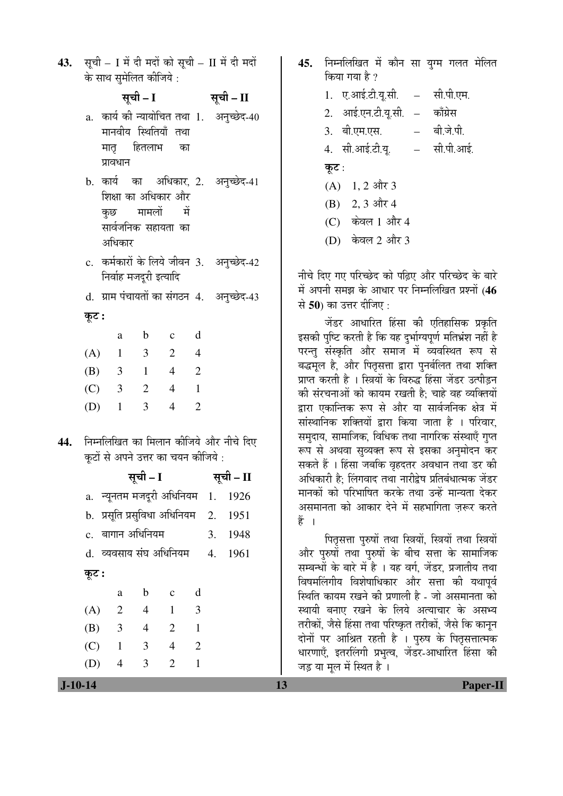43. सूची – I में दी मदों को सूची – II में दी मदों के साथ सुमेलित कीजिये :

> ÃÖæ"Öß **– I** ÃÖæ"Öß **– II**  a. कार्य की न्यायोचित तथा 1. अनुच्छेद-40 मानवीय स्थितियाँ तथा मातृ हितलाभ का प्रावधान b. कार्य का अधिकार, 2. शिक्षा का अधिकार और कछ मामलों में सार्वजनिक सहायता का आधिकार अनुच्छेद-41 c. कर्मकारों के लिये जीवन 3. अनुच्छेद-42 <u>निर्वाह मजदूरी इत्यादि</u> d. ग्राम पंचायतों का संगठन 4. अनुच्छेद-43

कूट :

|     | a | b | $\mathbf c$ |                             |
|-----|---|---|-------------|-----------------------------|
| (A) | 1 | 3 | 2           |                             |
| (B) | 3 | I | 4           | 2                           |
| (C) | 3 | 2 | 4           |                             |
| (D) | 1 | 3 | 4           | $\mathcal{D}_{\mathcal{L}}$ |

**44.** निम्नलिखित का मिलान कीजिये और नीचे दिए कूटों से अपने उत्तर का चयन कीजिये :

ÃÖæ"Öß **– I** ÃÖæ"Öß **– II**  a. न्यूनतम मजदूरी अधिनियम $1. 1926$ b. प्रसूति प्रसुविधा अधिनियम 2. 1951 c. ²ÖÖÝÖÖ®Ö †×¬Ö×®ÖµÖ´Ö 3. 1948 d. व्यवसाय संघ अधिनियम 4. 1961 कूट : a b c d (A) 2 4 1 3 (B) 3 4 2 1 (C) 1 3 4 2

(D) 4 3 2 1

45. निम्नलिखित में कौन सा युग्म गलत मेलित किया गया है ? 1. ए.आई.टी.यू.सी. – सी.पी.एम. 2. आई.एन.टी.यू.सी. – काँग्रेस 3. बी.एम.एस. – बी.जे.पी. 4. सी.आई.टी.यू. – सी.पी.आई. कूट :  $(A)$  1, 2 और 3  $(B)$  2, 3 और 4  $(C)$  केवल 1 और 4

(D) केवल 2 और 3

नीचे दिए गए परिच्छेद को पढ़िए और परिच्छेद के बारे में अपनी समझ के आधार पर निम्नलिखित प्रश्नों (46 से **50**) का उत्तर दीजिए :

<u>जेंडर आधारित हिंसा की एतिहासिक प्रकृति</u> इसकी पष्टि करती है कि यह दर्भाग्यपर्ण मतिभ्रंश नहीं है परन्तु संस्कृति और समाज में व्यवस्थित रूप से बद्धमूल है, और पितृसत्ता द्वारा पुनर्बलित तथा शक्ति प्राप्त करती है । स्त्रियों के विरुद्ध हिंसा जेंडर उत्पीडन की संरचनाओं को कायम रखती है: चाहे वह व्यक्तियों द्वारा एकान्तिक रूप से और या सार्वजनिक क्षेत्र में सांस्थानिक शक्तियों द्वारा किया जाता है । परिवार, समुदाय, सामाजिक, विधिक तथा नागरिक संस्थाएँ गुप्त रूप से अथवा सव्यक्त रूप से इसका अनमोदन कर सकते हैं । हिंसा जबकि वृहदतर अवधान तथा डर की अधिकारी है: लिंगवाद तथा नारीद्वेष प्रतिबंधात्मक जेंडर मानकों को परिभाषित करके तथा उन्हें मान्यता देकर असमानता को आकार देने में सहभागिता जरूर करते हें ।

पितृसत्ता पुरुषों तथा स्त्रियों, स्त्रियों तथा स्त्रियों और पुरुषों तथा पुरुषों के बीच सत्ता के सामाजिक सम्बन्धों के बारे में है । यह वर्ग, जेंडर, प्रजातीय तथा विषमलिंगीय विशेषाधिकार और सत्ता की यथापुर्व स्थिति कायम रखने की प्रणाली है - जो असमानता को स्थायी बनाए रखने के लिये अत्याचार के असभ्य तरीकों, जैसे हिंसा तथा परिष्कृत तरीकों, जैसे कि कानून दोनों पर आश्रित रहती है । पुरुष के पितृसत्तात्मक धारणाएँ, इतरलिंगी प्रभुत्व, जेंडर-आधारित हिंसा की जड़ या मूल में स्थित है।

 **J-10-14 13 Paper-II**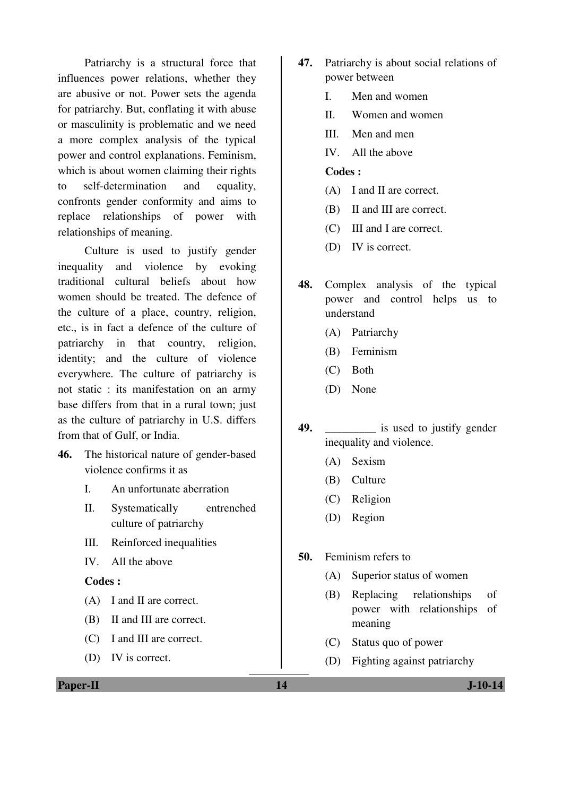Patriarchy is a structural force that influences power relations, whether they are abusive or not. Power sets the agenda for patriarchy. But, conflating it with abuse or masculinity is problematic and we need a more complex analysis of the typical power and control explanations. Feminism, which is about women claiming their rights to self-determination and equality, confronts gender conformity and aims to replace relationships of power with relationships of meaning.

 Culture is used to justify gender inequality and violence by evoking traditional cultural beliefs about how women should be treated. The defence of the culture of a place, country, religion, etc., is in fact a defence of the culture of patriarchy in that country, religion, identity; and the culture of violence everywhere. The culture of patriarchy is not static : its manifestation on an army base differs from that in a rural town; just as the culture of patriarchy in U.S. differs from that of Gulf, or India.

- **46.** The historical nature of gender-based violence confirms it as
	- I. An unfortunate aberration
	- II. Systematically entrenched culture of patriarchy
	- III. Reinforced inequalities
	- IV. All the above

#### **Codes :**

- (A) I and II are correct.
- (B) II and III are correct.
- (C) I and III are correct.
- (D) IV is correct.
- **47.** Patriarchy is about social relations of power between
	- I. Men and women
	- II. Women and women
	- III. Men and men
	- IV. All the above

## **Codes :**

- (A) I and II are correct.
- (B) II and III are correct.
- (C) III and I are correct.
- (D) IV is correct.
- **48.** Complex analysis of the typical power and control helps us to understand
	- (A) Patriarchy
	- (B) Feminism
	- (C) Both
	- (D) None
- **49.** \_\_\_\_\_\_\_\_\_ is used to justify gender inequality and violence.
	- (A) Sexism
	- (B) Culture
	- (C) Religion
	- (D) Region
- **50.** Feminism refers to
	- (A) Superior status of women
	- (B) Replacing relationships of power with relationships of meaning
	- (C) Status quo of power
	- (D) Fighting against patriarchy

**Paper-II** J-10-14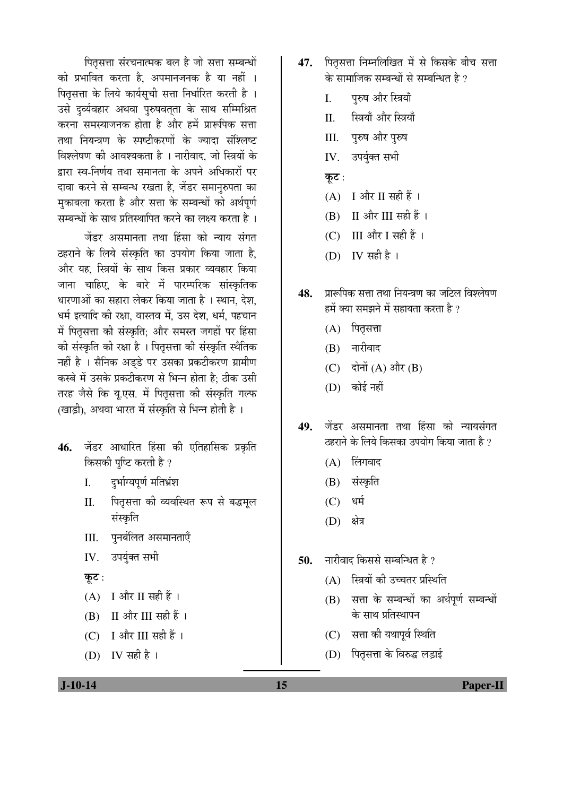पितृसत्ता संरचनात्मक बल है जो सत्ता सम्बन्धों को प्रभावित करता है. अपमानजनक है या नहीं । पितृसत्ता के लिये कार्यसुची सत्ता निर्धारित करती है । उसे दर्व्यवहार अथवा पुरुषवतता के साथ सम्मिश्रित करना समस्याजनक होता है और हमें प्रारूपिक सत्ता तथा नियन्त्रण के स्पष्टीकरणों के ज्यादा संश्लिष्ट विश्लेषण की आवश्यकता है । नारीवाद, जो स्त्रियों के द्रारा स्व-निर्णय तथा समानता के अपने अधिकारों पर दावा करने से सम्बन्ध रखता है, जेंडर समानरुपता का मुकाबला करता है और सत्ता के सम्बन्धों को अर्थपूर्ण सम्बन्धों के साथ प्रतिस्थापित करने का लक्ष्य करता है ।

<u>जेंडर असमानता तथा हिंसा को न्याय संगत</u> ठहराने के लिये संस्कृति का उपयोग किया जाता है. और यह, स्त्रियों के साथ किस प्रकार व्यवहार किया जाना चाहिए. के बारे में पारम्परिक सांस्कृतिक धारणाओं का सहारा लेकर किया जाता है । स्थान, देश, धर्म इत्यादि की रक्षा. वास्तव में. उस देश. धर्म. पहचान में पितसत्ता की संस्कृति: और समस्त जगहों पर हिंसा की संस्कृति की रक्षा है । पितृसत्ता की संस्कृति स्थैतिक नहीं है । सैनिक अडडे पर उसका प्रकटीकरण ग्रामीण कस्बे में उसके प्रकटीकरण से भिन्न होता है: ठीक उसी तरह जैसे कि यू.एस. में पितृसत्ता की संस्कृति गल्फ (खाडी), अथवा भारत में संस्कृति से भिन्न होती है)।

- **46.** जेंडर आधारित हिंसा की एतिहासिक प्रकृति किसकी पुष्टि करती है ?
	- I. दर्भाग्यपर्ण मतिभ्रंश
	- II. पितृसत्ता की व्यवस्थित रूप से बद्धमल संस्कृति
	- III. पुनर्बलित असमानताएँ
	- IV. उपर्युक्त सभी
	- कूट:
	- $(A)$  I और II सही हैं।
	- $(B)$  II और III सही हैं।
	- (C) I और III सही हैं।
	- (D) IV सही है।
- 47. पितसत्ता निम्नलिखित में से किसके बीच सत्ता के सामाजिक सम्बन्धों से सम्बन्धित है ?
	- I. परुष और स्त्रियाँ
	- II. स्त्रियाँ और स्त्रियाँ
	- III. पुरुष और पुरुष
	- IV. उपर्युक्त सभी
	- कुट:
	- $(A)$  I और II सही हैं।
	- $(B)$  II और III सही हैं।
	- $(C)$  III और I सही हैं।
	- (D) IV सही है।
- 48. ∑प्रारूपिक सत्ता तथा नियन्त्रण का जटिल विश्लेषण हमें क्या समझने में सहायता करता है ?
	- $(A)$  पितृसत्ता
	- $(B)$  नारीवाद
	- $(C)$  दोनों  $(A)$  और  $(B)$
	- $(D)$  कोई नहीं
- **49.** जेंडर असमानता तथा हिंसा को न्यायसंगत डहराने के लिये किसका उपयोग किया जाता है ?
	- $(A)$  लिंगवाद
	- (B) संस्कृति
	- $(C)$  धर्म
	- (D) क्षेत्र
- **50.** नारीवाद किससे सम्बन्धित है ?
	- (A) स्त्रियों की उच्चतर प्रस्थिति
	- (B) सत्ता के सम्बन्धों का अर्थपर्ण सम्बन्धों के साथ प्रतिस्थापन
	- (C) सत्ता की यथापूर्व स्थिति
	- (D) पितृसत्ता के विरुद्ध लड़ाई